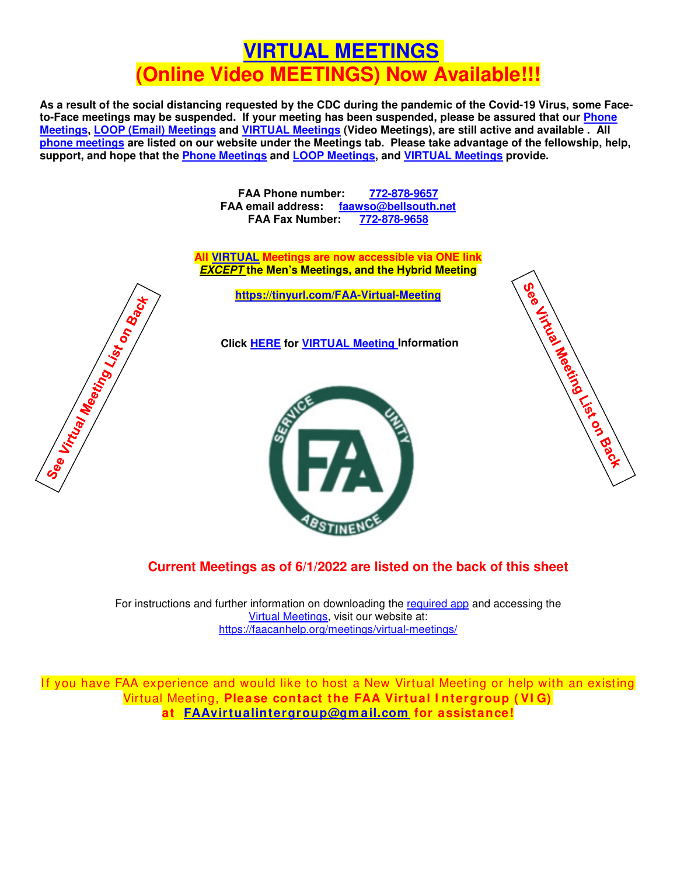## **[VIRTUAL MEETINGS](https://www.foodaddictsanonymous.org/virtual-meetings) (Online Video MEETINGS) Now Available!!!**

**As a result of the social distancing requested by the CDC during the pandemic of the Covid-19 Virus, some Faceto-Face meetings may be suspended. If your meeting has been suspended, please be assured that our [Phone](https://faacanhelp.org/meetings/phone-meetings/)  [Meetings,](https://faacanhelp.org/meetings/phone-meetings/) [LOOP \(Email\) Meetings](https://faacanhelp.org/meetings/faa-loop/) and [VIRTUAL Meetings](https://faacanhelp.org/meetings/virtual-meetings/) (Video Meetings), are still active and available . All [phone meetings](https://www.foodaddictsanonymous.org/content/phone-meetings) are listed on our website under the Meetings tab. Please take advantage of the fellowship, help, support, and hope that the [Phone Meetings](https://faacanhelp.org/meetings/phone-meetings/) and [LOOP Meetings,](https://faacanhelp.org/meetings/faa-loop/) and [VIRTUAL Meetings](https://faacanhelp.org/meetings/virtual-meetings/) provide.** 

> **FAA Phone number: [772-878-9657](tel:772-878-9657) FAA email address: [faawso@bellsouth.net](mailto:faawso@bellsouth.net?subject=Please%20contact%20me.&body=My%20Name%3A%0AMy%20Phone%3A%0AMy%20Email%3A) FAA Fax Number: [772-878-9658](http://tel:772-878-9658)**

**All [VIRTUAL](https://faacanhelp.org/meetings/virtual-meetings/) Meetings are now accessible via ONE link EXCEPT the Men's Meetings, and the Hybrid Meeting**

**<https://tinyurl.com/FAA-Virtual-Meeting>**

**Click [HERE](https://faacanhelp.org/meetings/virtual-meetings/) for [VIRTUAL Meeting](https://faacanhelp.org/meetings/virtual-meetings/) Information**





## **Current Meetings as of 6/1/2022 are listed on the back of this sheet**

For instructions and further information on downloading the [required](https://zoom.us/download) app and accessing the [Virtual Meetings,](https://faacanhelp.org/meetings/virtual-meetings/) visit our website at: <https://faacanhelp.org/meetings/virtual-meetings/>

If you have FAA experience and would like to host a New Virtual Meeting or help with an existing Virtual Meeting, **Please contact the FAA Virtual I ntergroup ( VI G) at [FAAvirtualintergroup@gm ail.com](mailto:FAAvirtualintergroup@gmail.com?subject=Starting%20Virtual%20Meeting%20Interest) for assistance!**